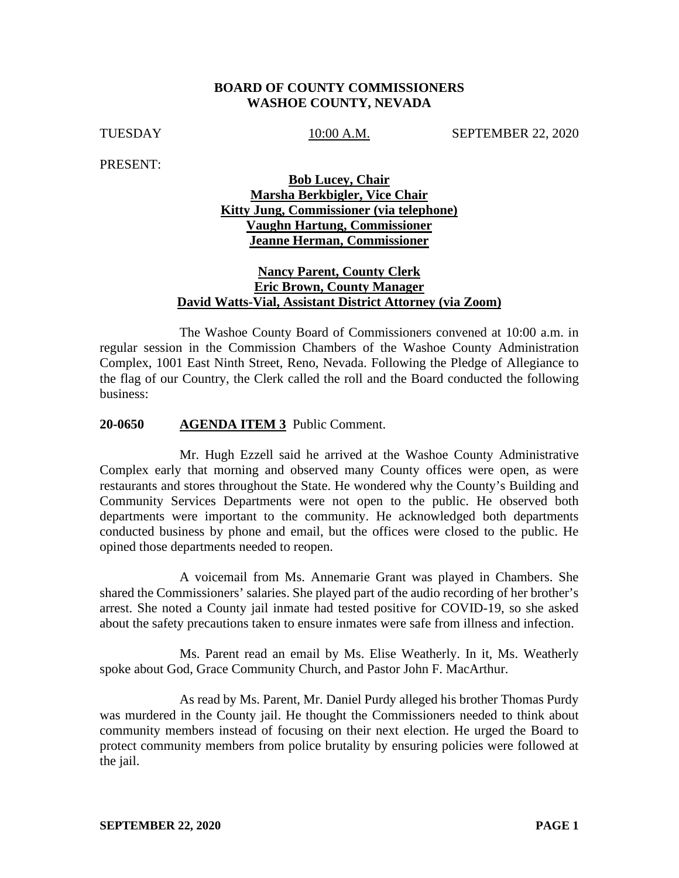#### **BOARD OF COUNTY COMMISSIONERS WASHOE COUNTY, NEVADA**

TUESDAY 10:00 A.M. SEPTEMBER 22, 2020

PRESENT:

# **Bob Lucey, Chair Marsha Berkbigler, Vice Chair Kitty Jung, Commissioner (via telephone) Vaughn Hartung, Commissioner Jeanne Herman, Commissioner**

## **Nancy Parent, County Clerk Eric Brown, County Manager David Watts-Vial, Assistant District Attorney (via Zoom)**

The Washoe County Board of Commissioners convened at 10:00 a.m. in regular session in the Commission Chambers of the Washoe County Administration Complex, 1001 East Ninth Street, Reno, Nevada. Following the Pledge of Allegiance to the flag of our Country, the Clerk called the roll and the Board conducted the following business:

#### **20-0650 AGENDA ITEM 3** Public Comment.

Mr. Hugh Ezzell said he arrived at the Washoe County Administrative Complex early that morning and observed many County offices were open, as were restaurants and stores throughout the State. He wondered why the County's Building and Community Services Departments were not open to the public. He observed both departments were important to the community. He acknowledged both departments conducted business by phone and email, but the offices were closed to the public. He opined those departments needed to reopen.

A voicemail from Ms. Annemarie Grant was played in Chambers. She shared the Commissioners' salaries. She played part of the audio recording of her brother's arrest. She noted a County jail inmate had tested positive for COVID-19, so she asked about the safety precautions taken to ensure inmates were safe from illness and infection.

Ms. Parent read an email by Ms. Elise Weatherly. In it, Ms. Weatherly spoke about God, Grace Community Church, and Pastor John F. MacArthur.

As read by Ms. Parent, Mr. Daniel Purdy alleged his brother Thomas Purdy was murdered in the County jail. He thought the Commissioners needed to think about community members instead of focusing on their next election. He urged the Board to protect community members from police brutality by ensuring policies were followed at the jail.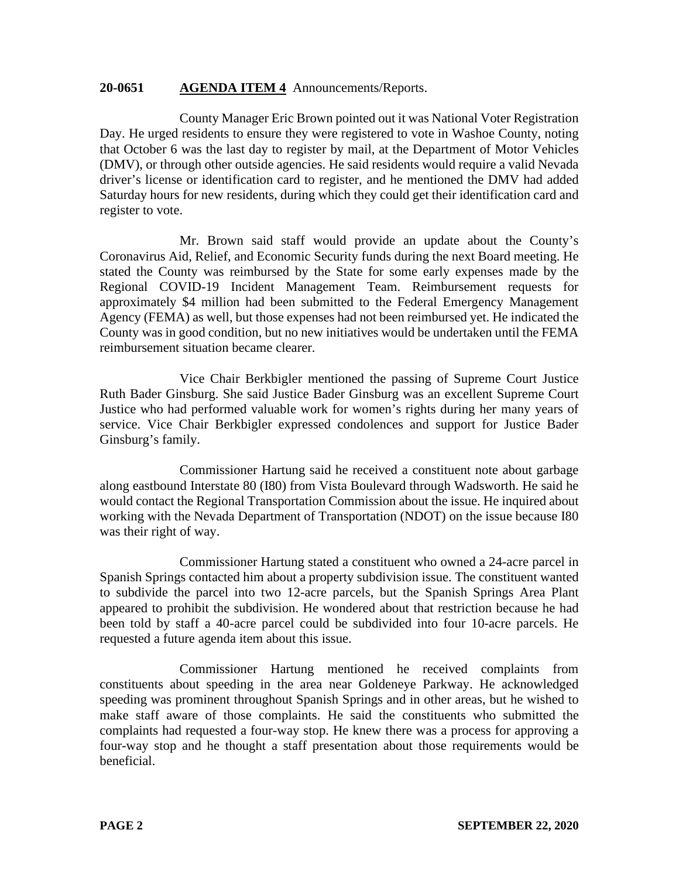## **20-0651 AGENDA ITEM 4** Announcements/Reports.

County Manager Eric Brown pointed out it was National Voter Registration Day. He urged residents to ensure they were registered to vote in Washoe County, noting that October 6 was the last day to register by mail, at the Department of Motor Vehicles (DMV), or through other outside agencies. He said residents would require a valid Nevada driver's license or identification card to register, and he mentioned the DMV had added Saturday hours for new residents, during which they could get their identification card and register to vote.

Mr. Brown said staff would provide an update about the County's Coronavirus Aid, Relief, and Economic Security funds during the next Board meeting. He stated the County was reimbursed by the State for some early expenses made by the Regional COVID-19 Incident Management Team. Reimbursement requests for approximately \$4 million had been submitted to the Federal Emergency Management Agency (FEMA) as well, but those expenses had not been reimbursed yet. He indicated the County was in good condition, but no new initiatives would be undertaken until the FEMA reimbursement situation became clearer.

Vice Chair Berkbigler mentioned the passing of Supreme Court Justice Ruth Bader Ginsburg. She said Justice Bader Ginsburg was an excellent Supreme Court Justice who had performed valuable work for women's rights during her many years of service. Vice Chair Berkbigler expressed condolences and support for Justice Bader Ginsburg's family.

Commissioner Hartung said he received a constituent note about garbage along eastbound Interstate 80 (I80) from Vista Boulevard through Wadsworth. He said he would contact the Regional Transportation Commission about the issue. He inquired about working with the Nevada Department of Transportation (NDOT) on the issue because I80 was their right of way.

Commissioner Hartung stated a constituent who owned a 24-acre parcel in Spanish Springs contacted him about a property subdivision issue. The constituent wanted to subdivide the parcel into two 12-acre parcels, but the Spanish Springs Area Plant appeared to prohibit the subdivision. He wondered about that restriction because he had been told by staff a 40-acre parcel could be subdivided into four 10-acre parcels. He requested a future agenda item about this issue.

Commissioner Hartung mentioned he received complaints from constituents about speeding in the area near Goldeneye Parkway. He acknowledged speeding was prominent throughout Spanish Springs and in other areas, but he wished to make staff aware of those complaints. He said the constituents who submitted the complaints had requested a four-way stop. He knew there was a process for approving a four-way stop and he thought a staff presentation about those requirements would be beneficial.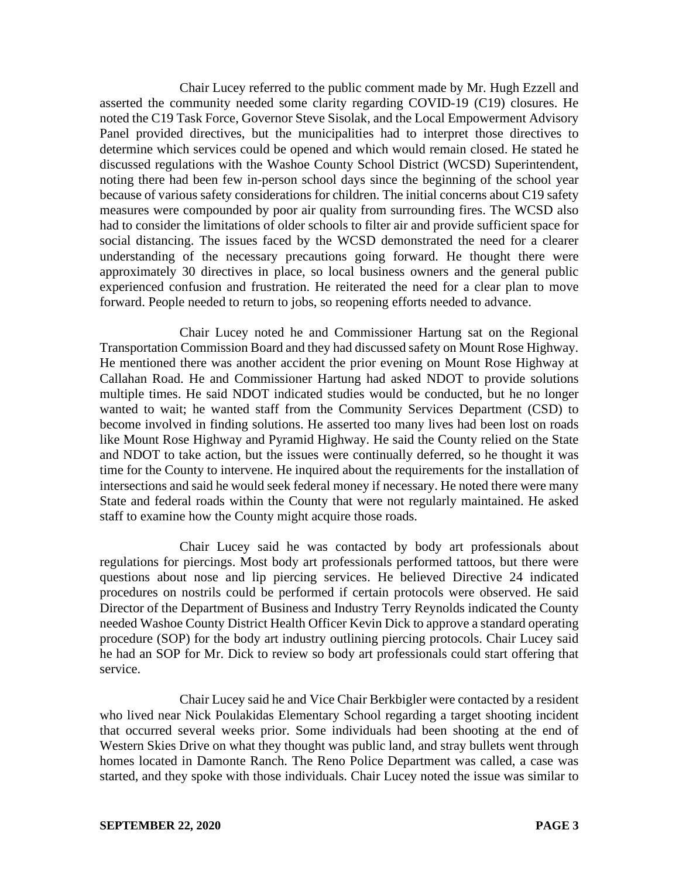Chair Lucey referred to the public comment made by Mr. Hugh Ezzell and asserted the community needed some clarity regarding COVID-19 (C19) closures. He noted the C19 Task Force, Governor Steve Sisolak, and the Local Empowerment Advisory Panel provided directives, but the municipalities had to interpret those directives to determine which services could be opened and which would remain closed. He stated he discussed regulations with the Washoe County School District (WCSD) Superintendent, noting there had been few in-person school days since the beginning of the school year because of various safety considerations for children. The initial concerns about C19 safety measures were compounded by poor air quality from surrounding fires. The WCSD also had to consider the limitations of older schools to filter air and provide sufficient space for social distancing. The issues faced by the WCSD demonstrated the need for a clearer understanding of the necessary precautions going forward. He thought there were approximately 30 directives in place, so local business owners and the general public experienced confusion and frustration. He reiterated the need for a clear plan to move forward. People needed to return to jobs, so reopening efforts needed to advance.

Chair Lucey noted he and Commissioner Hartung sat on the Regional Transportation Commission Board and they had discussed safety on Mount Rose Highway. He mentioned there was another accident the prior evening on Mount Rose Highway at Callahan Road. He and Commissioner Hartung had asked NDOT to provide solutions multiple times. He said NDOT indicated studies would be conducted, but he no longer wanted to wait; he wanted staff from the Community Services Department (CSD) to become involved in finding solutions. He asserted too many lives had been lost on roads like Mount Rose Highway and Pyramid Highway. He said the County relied on the State and NDOT to take action, but the issues were continually deferred, so he thought it was time for the County to intervene. He inquired about the requirements for the installation of intersections and said he would seek federal money if necessary. He noted there were many State and federal roads within the County that were not regularly maintained. He asked staff to examine how the County might acquire those roads.

Chair Lucey said he was contacted by body art professionals about regulations for piercings. Most body art professionals performed tattoos, but there were questions about nose and lip piercing services. He believed Directive 24 indicated procedures on nostrils could be performed if certain protocols were observed. He said Director of the Department of Business and Industry Terry Reynolds indicated the County needed Washoe County District Health Officer Kevin Dick to approve a standard operating procedure (SOP) for the body art industry outlining piercing protocols. Chair Lucey said he had an SOP for Mr. Dick to review so body art professionals could start offering that service.

Chair Lucey said he and Vice Chair Berkbigler were contacted by a resident who lived near Nick Poulakidas Elementary School regarding a target shooting incident that occurred several weeks prior. Some individuals had been shooting at the end of Western Skies Drive on what they thought was public land, and stray bullets went through homes located in Damonte Ranch. The Reno Police Department was called, a case was started, and they spoke with those individuals. Chair Lucey noted the issue was similar to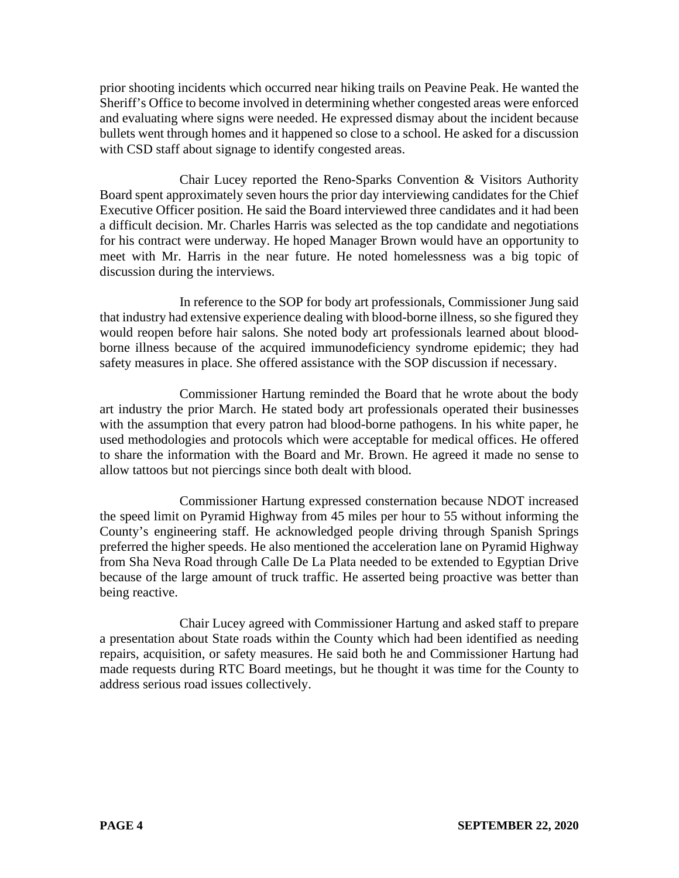prior shooting incidents which occurred near hiking trails on Peavine Peak. He wanted the Sheriff's Office to become involved in determining whether congested areas were enforced and evaluating where signs were needed. He expressed dismay about the incident because bullets went through homes and it happened so close to a school. He asked for a discussion with CSD staff about signage to identify congested areas.

Chair Lucey reported the Reno-Sparks Convention & Visitors Authority Board spent approximately seven hours the prior day interviewing candidates for the Chief Executive Officer position. He said the Board interviewed three candidates and it had been a difficult decision. Mr. Charles Harris was selected as the top candidate and negotiations for his contract were underway. He hoped Manager Brown would have an opportunity to meet with Mr. Harris in the near future. He noted homelessness was a big topic of discussion during the interviews.

In reference to the SOP for body art professionals, Commissioner Jung said that industry had extensive experience dealing with blood-borne illness, so she figured they would reopen before hair salons. She noted body art professionals learned about bloodborne illness because of the acquired immunodeficiency syndrome epidemic; they had safety measures in place. She offered assistance with the SOP discussion if necessary.

Commissioner Hartung reminded the Board that he wrote about the body art industry the prior March. He stated body art professionals operated their businesses with the assumption that every patron had blood-borne pathogens. In his white paper, he used methodologies and protocols which were acceptable for medical offices. He offered to share the information with the Board and Mr. Brown. He agreed it made no sense to allow tattoos but not piercings since both dealt with blood.

Commissioner Hartung expressed consternation because NDOT increased the speed limit on Pyramid Highway from 45 miles per hour to 55 without informing the County's engineering staff. He acknowledged people driving through Spanish Springs preferred the higher speeds. He also mentioned the acceleration lane on Pyramid Highway from Sha Neva Road through Calle De La Plata needed to be extended to Egyptian Drive because of the large amount of truck traffic. He asserted being proactive was better than being reactive.

Chair Lucey agreed with Commissioner Hartung and asked staff to prepare a presentation about State roads within the County which had been identified as needing repairs, acquisition, or safety measures. He said both he and Commissioner Hartung had made requests during RTC Board meetings, but he thought it was time for the County to address serious road issues collectively.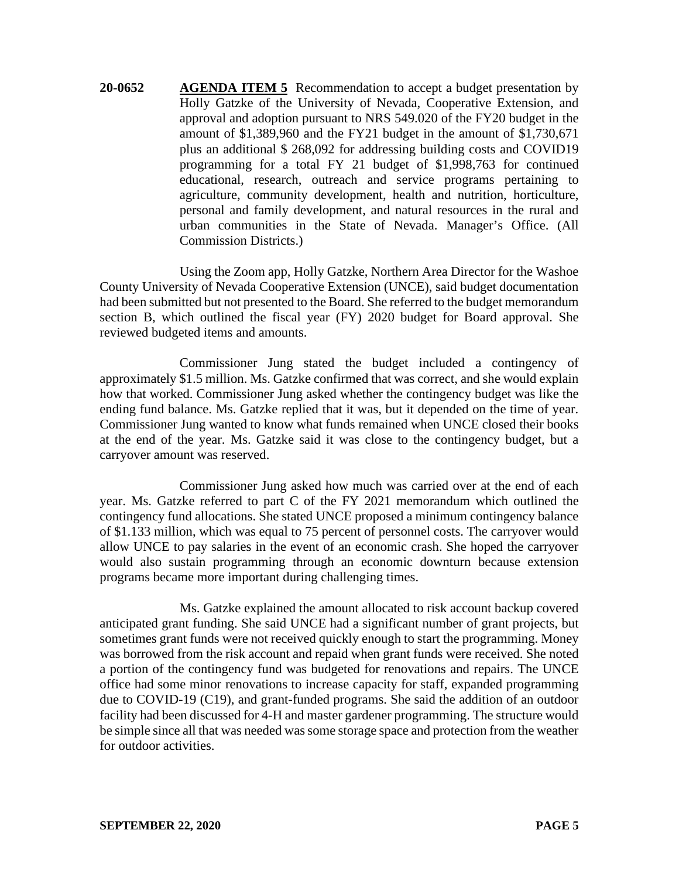**20-0652 AGENDA ITEM 5** Recommendation to accept a budget presentation by Holly Gatzke of the University of Nevada, Cooperative Extension, and approval and adoption pursuant to NRS 549.020 of the FY20 budget in the amount of \$1,389,960 and the FY21 budget in the amount of \$1,730,671 plus an additional \$ 268,092 for addressing building costs and COVID19 programming for a total FY 21 budget of \$1,998,763 for continued educational, research, outreach and service programs pertaining to agriculture, community development, health and nutrition, horticulture, personal and family development, and natural resources in the rural and urban communities in the State of Nevada. Manager's Office. (All Commission Districts.)

Using the Zoom app, Holly Gatzke, Northern Area Director for the Washoe County University of Nevada Cooperative Extension (UNCE), said budget documentation had been submitted but not presented to the Board. She referred to the budget memorandum section B, which outlined the fiscal year (FY) 2020 budget for Board approval. She reviewed budgeted items and amounts.

Commissioner Jung stated the budget included a contingency of approximately \$1.5 million. Ms. Gatzke confirmed that was correct, and she would explain how that worked. Commissioner Jung asked whether the contingency budget was like the ending fund balance. Ms. Gatzke replied that it was, but it depended on the time of year. Commissioner Jung wanted to know what funds remained when UNCE closed their books at the end of the year. Ms. Gatzke said it was close to the contingency budget, but a carryover amount was reserved.

Commissioner Jung asked how much was carried over at the end of each year. Ms. Gatzke referred to part C of the FY 2021 memorandum which outlined the contingency fund allocations. She stated UNCE proposed a minimum contingency balance of \$1.133 million, which was equal to 75 percent of personnel costs. The carryover would allow UNCE to pay salaries in the event of an economic crash. She hoped the carryover would also sustain programming through an economic downturn because extension programs became more important during challenging times.

Ms. Gatzke explained the amount allocated to risk account backup covered anticipated grant funding. She said UNCE had a significant number of grant projects, but sometimes grant funds were not received quickly enough to start the programming. Money was borrowed from the risk account and repaid when grant funds were received. She noted a portion of the contingency fund was budgeted for renovations and repairs. The UNCE office had some minor renovations to increase capacity for staff, expanded programming due to COVID-19 (C19), and grant-funded programs. She said the addition of an outdoor facility had been discussed for 4-H and master gardener programming. The structure would be simple since all that was needed was some storage space and protection from the weather for outdoor activities.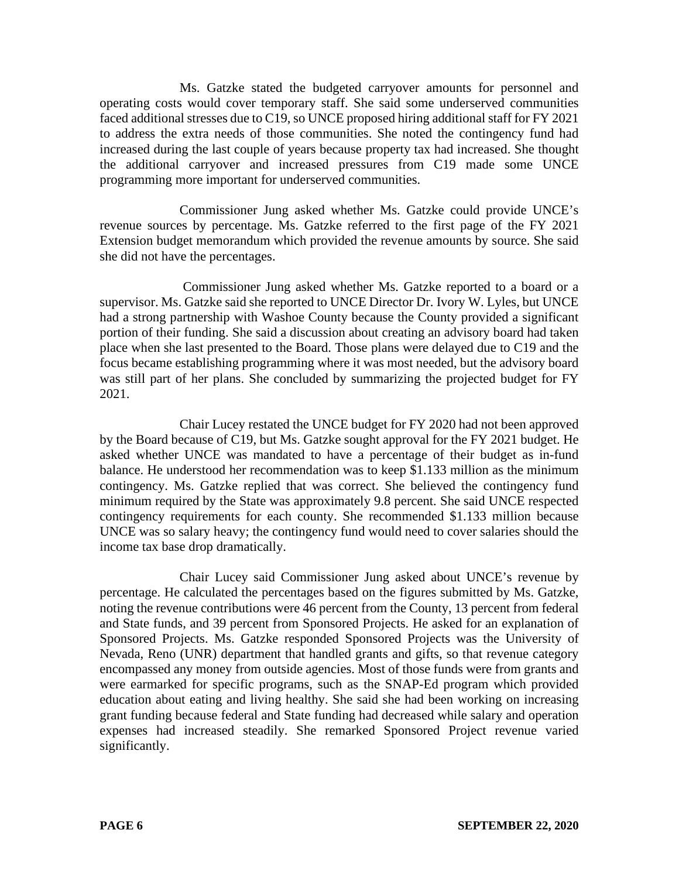Ms. Gatzke stated the budgeted carryover amounts for personnel and operating costs would cover temporary staff. She said some underserved communities faced additional stresses due to C19, so UNCE proposed hiring additional staff for FY 2021 to address the extra needs of those communities. She noted the contingency fund had increased during the last couple of years because property tax had increased. She thought the additional carryover and increased pressures from C19 made some UNCE programming more important for underserved communities.

Commissioner Jung asked whether Ms. Gatzke could provide UNCE's revenue sources by percentage. Ms. Gatzke referred to the first page of the FY 2021 Extension budget memorandum which provided the revenue amounts by source. She said she did not have the percentages.

Commissioner Jung asked whether Ms. Gatzke reported to a board or a supervisor. Ms. Gatzke said she reported to UNCE Director Dr. Ivory W. Lyles, but UNCE had a strong partnership with Washoe County because the County provided a significant portion of their funding. She said a discussion about creating an advisory board had taken place when she last presented to the Board. Those plans were delayed due to C19 and the focus became establishing programming where it was most needed, but the advisory board was still part of her plans. She concluded by summarizing the projected budget for FY 2021.

Chair Lucey restated the UNCE budget for FY 2020 had not been approved by the Board because of C19, but Ms. Gatzke sought approval for the FY 2021 budget. He asked whether UNCE was mandated to have a percentage of their budget as in-fund balance. He understood her recommendation was to keep \$1.133 million as the minimum contingency. Ms. Gatzke replied that was correct. She believed the contingency fund minimum required by the State was approximately 9.8 percent. She said UNCE respected contingency requirements for each county. She recommended \$1.133 million because UNCE was so salary heavy; the contingency fund would need to cover salaries should the income tax base drop dramatically.

Chair Lucey said Commissioner Jung asked about UNCE's revenue by percentage. He calculated the percentages based on the figures submitted by Ms. Gatzke, noting the revenue contributions were 46 percent from the County, 13 percent from federal and State funds, and 39 percent from Sponsored Projects. He asked for an explanation of Sponsored Projects. Ms. Gatzke responded Sponsored Projects was the University of Nevada, Reno (UNR) department that handled grants and gifts, so that revenue category encompassed any money from outside agencies. Most of those funds were from grants and were earmarked for specific programs, such as the SNAP-Ed program which provided education about eating and living healthy. She said she had been working on increasing grant funding because federal and State funding had decreased while salary and operation expenses had increased steadily. She remarked Sponsored Project revenue varied significantly.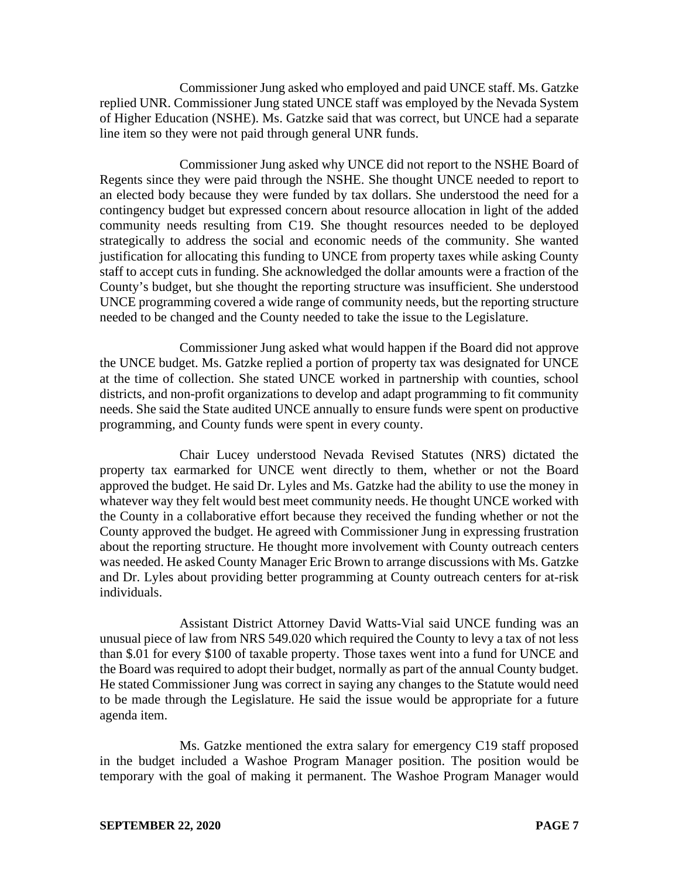Commissioner Jung asked who employed and paid UNCE staff. Ms. Gatzke replied UNR. Commissioner Jung stated UNCE staff was employed by the Nevada System of Higher Education (NSHE). Ms. Gatzke said that was correct, but UNCE had a separate line item so they were not paid through general UNR funds.

Commissioner Jung asked why UNCE did not report to the NSHE Board of Regents since they were paid through the NSHE. She thought UNCE needed to report to an elected body because they were funded by tax dollars. She understood the need for a contingency budget but expressed concern about resource allocation in light of the added community needs resulting from C19. She thought resources needed to be deployed strategically to address the social and economic needs of the community. She wanted justification for allocating this funding to UNCE from property taxes while asking County staff to accept cuts in funding. She acknowledged the dollar amounts were a fraction of the County's budget, but she thought the reporting structure was insufficient. She understood UNCE programming covered a wide range of community needs, but the reporting structure needed to be changed and the County needed to take the issue to the Legislature.

Commissioner Jung asked what would happen if the Board did not approve the UNCE budget. Ms. Gatzke replied a portion of property tax was designated for UNCE at the time of collection. She stated UNCE worked in partnership with counties, school districts, and non-profit organizations to develop and adapt programming to fit community needs. She said the State audited UNCE annually to ensure funds were spent on productive programming, and County funds were spent in every county.

Chair Lucey understood Nevada Revised Statutes (NRS) dictated the property tax earmarked for UNCE went directly to them, whether or not the Board approved the budget. He said Dr. Lyles and Ms. Gatzke had the ability to use the money in whatever way they felt would best meet community needs. He thought UNCE worked with the County in a collaborative effort because they received the funding whether or not the County approved the budget. He agreed with Commissioner Jung in expressing frustration about the reporting structure. He thought more involvement with County outreach centers was needed. He asked County Manager Eric Brown to arrange discussions with Ms. Gatzke and Dr. Lyles about providing better programming at County outreach centers for at-risk individuals.

Assistant District Attorney David Watts-Vial said UNCE funding was an unusual piece of law from NRS 549.020 which required the County to levy a tax of not less than \$.01 for every \$100 of taxable property. Those taxes went into a fund for UNCE and the Board was required to adopt their budget, normally as part of the annual County budget. He stated Commissioner Jung was correct in saying any changes to the Statute would need to be made through the Legislature. He said the issue would be appropriate for a future agenda item.

Ms. Gatzke mentioned the extra salary for emergency C19 staff proposed in the budget included a Washoe Program Manager position. The position would be temporary with the goal of making it permanent. The Washoe Program Manager would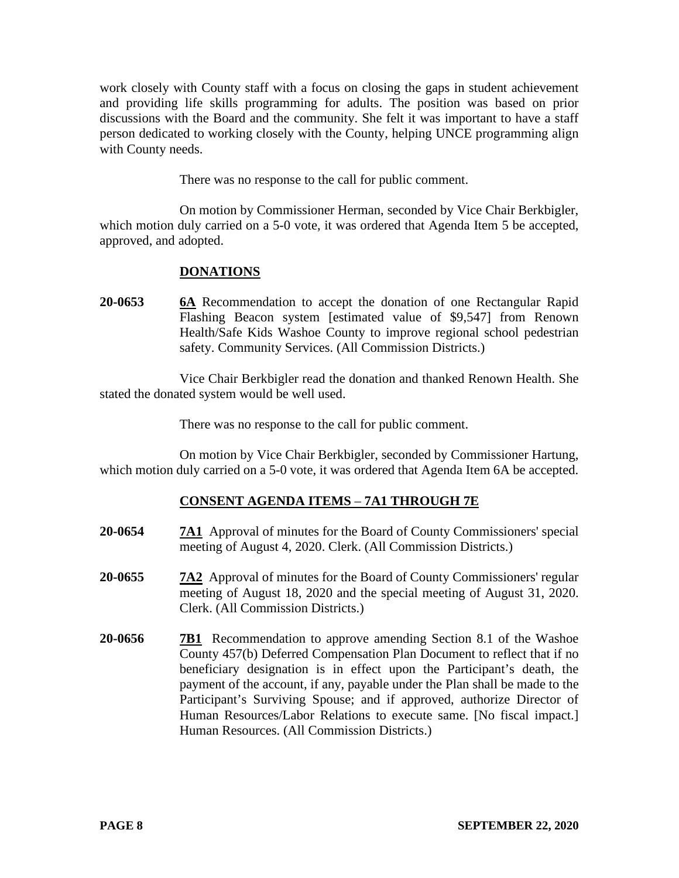work closely with County staff with a focus on closing the gaps in student achievement and providing life skills programming for adults. The position was based on prior discussions with the Board and the community. She felt it was important to have a staff person dedicated to working closely with the County, helping UNCE programming align with County needs.

There was no response to the call for public comment.

On motion by Commissioner Herman, seconded by Vice Chair Berkbigler, which motion duly carried on a 5-0 vote, it was ordered that Agenda Item 5 be accepted, approved, and adopted.

# **DONATIONS**

**20-0653 6A** Recommendation to accept the donation of one Rectangular Rapid Flashing Beacon system [estimated value of \$9,547] from Renown Health/Safe Kids Washoe County to improve regional school pedestrian safety. Community Services. (All Commission Districts.)

Vice Chair Berkbigler read the donation and thanked Renown Health. She stated the donated system would be well used.

There was no response to the call for public comment.

On motion by Vice Chair Berkbigler, seconded by Commissioner Hartung, which motion duly carried on a 5-0 vote, it was ordered that Agenda Item 6A be accepted.

## **CONSENT AGENDA ITEMS** – **7A1 THROUGH 7E**

- **20-0654 7A1** Approval of minutes for the Board of County Commissioners' special meeting of August 4, 2020. Clerk. (All Commission Districts.)
- **20-0655 7A2** Approval of minutes for the Board of County Commissioners' regular meeting of August 18, 2020 and the special meeting of August 31, 2020. Clerk. (All Commission Districts.)
- **20-0656 7B1** Recommendation to approve amending Section 8.1 of the Washoe County 457(b) Deferred Compensation Plan Document to reflect that if no beneficiary designation is in effect upon the Participant's death, the payment of the account, if any, payable under the Plan shall be made to the Participant's Surviving Spouse; and if approved, authorize Director of Human Resources/Labor Relations to execute same. [No fiscal impact.] Human Resources. (All Commission Districts.)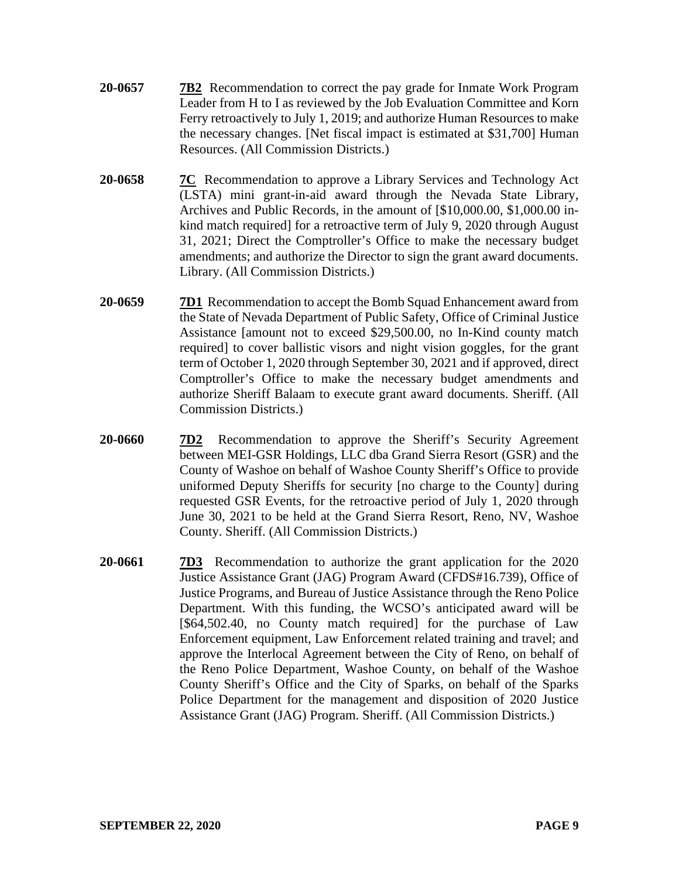- **20-0657 7B2** Recommendation to correct the pay grade for Inmate Work Program Leader from H to I as reviewed by the Job Evaluation Committee and Korn Ferry retroactively to July 1, 2019; and authorize Human Resources to make the necessary changes. [Net fiscal impact is estimated at \$31,700] Human Resources. (All Commission Districts.)
- **20-0658 7C** Recommendation to approve a Library Services and Technology Act (LSTA) mini grant-in-aid award through the Nevada State Library, Archives and Public Records, in the amount of [\$10,000.00, \$1,000.00 inkind match required] for a retroactive term of July 9, 2020 through August 31, 2021; Direct the Comptroller's Office to make the necessary budget amendments; and authorize the Director to sign the grant award documents. Library. (All Commission Districts.)
- **20-0659 7D1** Recommendation to accept the Bomb Squad Enhancement award from the State of Nevada Department of Public Safety, Office of Criminal Justice Assistance [amount not to exceed \$29,500.00, no In-Kind county match required] to cover ballistic visors and night vision goggles, for the grant term of October 1, 2020 through September 30, 2021 and if approved, direct Comptroller's Office to make the necessary budget amendments and authorize Sheriff Balaam to execute grant award documents. Sheriff. (All Commission Districts.)
- **20-0660 7D2** Recommendation to approve the Sheriff's Security Agreement between MEI-GSR Holdings, LLC dba Grand Sierra Resort (GSR) and the County of Washoe on behalf of Washoe County Sheriff's Office to provide uniformed Deputy Sheriffs for security [no charge to the County] during requested GSR Events, for the retroactive period of July 1, 2020 through June 30, 2021 to be held at the Grand Sierra Resort, Reno, NV, Washoe County. Sheriff. (All Commission Districts.)
- **20-0661 7D3** Recommendation to authorize the grant application for the 2020 Justice Assistance Grant (JAG) Program Award (CFDS#16.739), Office of Justice Programs, and Bureau of Justice Assistance through the Reno Police Department. With this funding, the WCSO's anticipated award will be [\$64,502.40, no County match required] for the purchase of Law Enforcement equipment, Law Enforcement related training and travel; and approve the Interlocal Agreement between the City of Reno, on behalf of the Reno Police Department, Washoe County, on behalf of the Washoe County Sheriff's Office and the City of Sparks, on behalf of the Sparks Police Department for the management and disposition of 2020 Justice Assistance Grant (JAG) Program. Sheriff. (All Commission Districts.)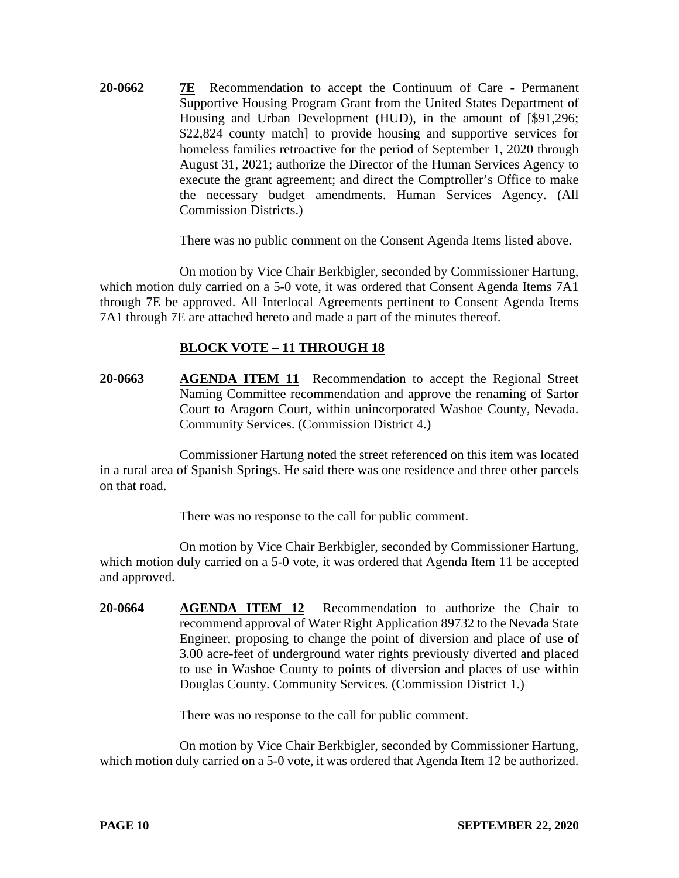**20-0662 7E** Recommendation to accept the Continuum of Care - Permanent Supportive Housing Program Grant from the United States Department of Housing and Urban Development (HUD), in the amount of [\$91,296; \$22,824 county match] to provide housing and supportive services for homeless families retroactive for the period of September 1, 2020 through August 31, 2021; authorize the Director of the Human Services Agency to execute the grant agreement; and direct the Comptroller's Office to make the necessary budget amendments. Human Services Agency. (All Commission Districts.)

There was no public comment on the Consent Agenda Items listed above.

On motion by Vice Chair Berkbigler, seconded by Commissioner Hartung, which motion duly carried on a 5-0 vote, it was ordered that Consent Agenda Items 7A1 through 7E be approved. All Interlocal Agreements pertinent to Consent Agenda Items 7A1 through 7E are attached hereto and made a part of the minutes thereof.

## **BLOCK VOTE – 11 THROUGH 18**

**20-0663 AGENDA ITEM 11** Recommendation to accept the Regional Street Naming Committee recommendation and approve the renaming of Sartor Court to Aragorn Court, within unincorporated Washoe County, Nevada. Community Services. (Commission District 4.)

Commissioner Hartung noted the street referenced on this item was located in a rural area of Spanish Springs. He said there was one residence and three other parcels on that road.

There was no response to the call for public comment.

On motion by Vice Chair Berkbigler, seconded by Commissioner Hartung, which motion duly carried on a 5-0 vote, it was ordered that Agenda Item 11 be accepted and approved.

**20-0664 AGENDA ITEM 12** Recommendation to authorize the Chair to recommend approval of Water Right Application 89732 to the Nevada State Engineer, proposing to change the point of diversion and place of use of 3.00 acre-feet of underground water rights previously diverted and placed to use in Washoe County to points of diversion and places of use within Douglas County. Community Services. (Commission District 1.)

There was no response to the call for public comment.

On motion by Vice Chair Berkbigler, seconded by Commissioner Hartung, which motion duly carried on a 5-0 vote, it was ordered that Agenda Item 12 be authorized.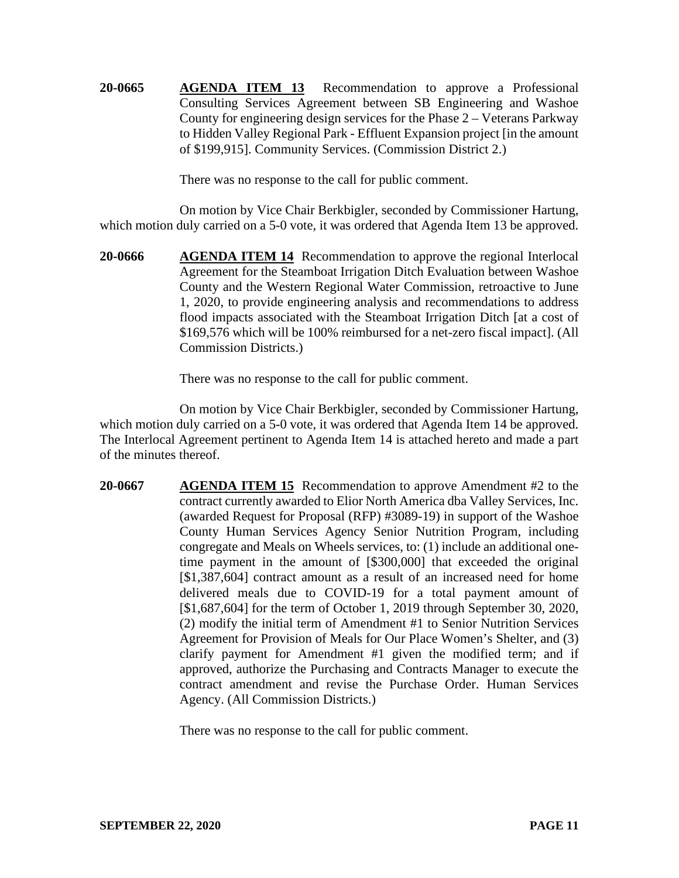**20-0665 AGENDA ITEM 13** Recommendation to approve a Professional Consulting Services Agreement between SB Engineering and Washoe County for engineering design services for the Phase 2 – Veterans Parkway to Hidden Valley Regional Park - Effluent Expansion project [in the amount of \$199,915]. Community Services. (Commission District 2.)

There was no response to the call for public comment.

On motion by Vice Chair Berkbigler, seconded by Commissioner Hartung, which motion duly carried on a 5-0 vote, it was ordered that Agenda Item 13 be approved.

**20-0666 AGENDA ITEM 14** Recommendation to approve the regional Interlocal Agreement for the Steamboat Irrigation Ditch Evaluation between Washoe County and the Western Regional Water Commission, retroactive to June 1, 2020, to provide engineering analysis and recommendations to address flood impacts associated with the Steamboat Irrigation Ditch [at a cost of \$169,576 which will be 100% reimbursed for a net-zero fiscal impact]. (All Commission Districts.)

There was no response to the call for public comment.

On motion by Vice Chair Berkbigler, seconded by Commissioner Hartung, which motion duly carried on a 5-0 vote, it was ordered that Agenda Item 14 be approved. The Interlocal Agreement pertinent to Agenda Item 14 is attached hereto and made a part of the minutes thereof.

**20-0667 AGENDA ITEM 15** Recommendation to approve Amendment #2 to the contract currently awarded to Elior North America dba Valley Services, Inc. (awarded Request for Proposal (RFP) #3089-19) in support of the Washoe County Human Services Agency Senior Nutrition Program, including congregate and Meals on Wheels services, to: (1) include an additional onetime payment in the amount of [\$300,000] that exceeded the original [\$1,387,604] contract amount as a result of an increased need for home delivered meals due to COVID-19 for a total payment amount of [\$1,687,604] for the term of October 1, 2019 through September 30, 2020, (2) modify the initial term of Amendment #1 to Senior Nutrition Services Agreement for Provision of Meals for Our Place Women's Shelter, and (3) clarify payment for Amendment #1 given the modified term; and if approved, authorize the Purchasing and Contracts Manager to execute the contract amendment and revise the Purchase Order. Human Services Agency. (All Commission Districts.)

There was no response to the call for public comment.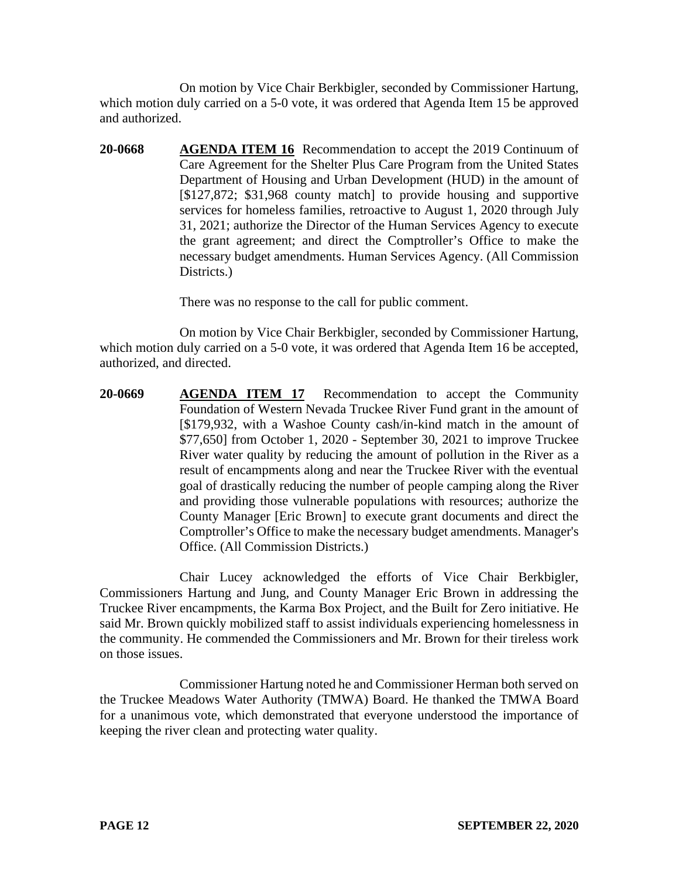On motion by Vice Chair Berkbigler, seconded by Commissioner Hartung, which motion duly carried on a 5-0 vote, it was ordered that Agenda Item 15 be approved and authorized.

**20-0668 AGENDA ITEM 16** Recommendation to accept the 2019 Continuum of Care Agreement for the Shelter Plus Care Program from the United States Department of Housing and Urban Development (HUD) in the amount of [\$127,872; \$31,968 county match] to provide housing and supportive services for homeless families, retroactive to August 1, 2020 through July 31, 2021; authorize the Director of the Human Services Agency to execute the grant agreement; and direct the Comptroller's Office to make the necessary budget amendments. Human Services Agency. (All Commission Districts.)

There was no response to the call for public comment.

On motion by Vice Chair Berkbigler, seconded by Commissioner Hartung, which motion duly carried on a 5-0 vote, it was ordered that Agenda Item 16 be accepted, authorized, and directed.

**20-0669 AGENDA ITEM 17** Recommendation to accept the Community Foundation of Western Nevada Truckee River Fund grant in the amount of [\$179,932, with a Washoe County cash/in-kind match in the amount of \$77,650] from October 1, 2020 - September 30, 2021 to improve Truckee River water quality by reducing the amount of pollution in the River as a result of encampments along and near the Truckee River with the eventual goal of drastically reducing the number of people camping along the River and providing those vulnerable populations with resources; authorize the County Manager [Eric Brown] to execute grant documents and direct the Comptroller's Office to make the necessary budget amendments. Manager's Office. (All Commission Districts.)

Chair Lucey acknowledged the efforts of Vice Chair Berkbigler, Commissioners Hartung and Jung, and County Manager Eric Brown in addressing the Truckee River encampments, the Karma Box Project, and the Built for Zero initiative. He said Mr. Brown quickly mobilized staff to assist individuals experiencing homelessness in the community. He commended the Commissioners and Mr. Brown for their tireless work on those issues.

Commissioner Hartung noted he and Commissioner Herman both served on the Truckee Meadows Water Authority (TMWA) Board. He thanked the TMWA Board for a unanimous vote, which demonstrated that everyone understood the importance of keeping the river clean and protecting water quality.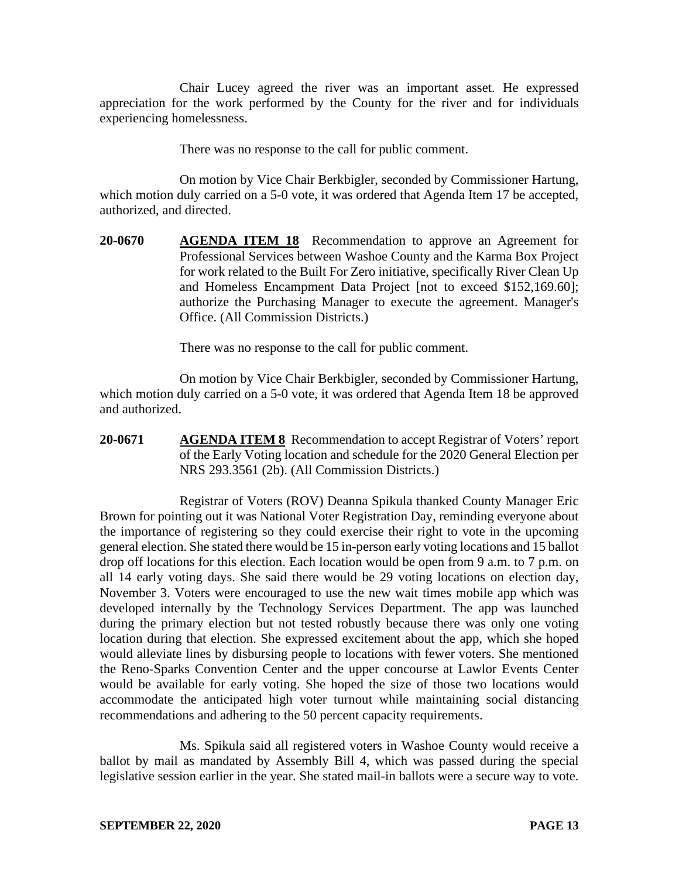Chair Lucey agreed the river was an important asset. He expressed appreciation for the work performed by the County for the river and for individuals experiencing homelessness.

There was no response to the call for public comment.

On motion by Vice Chair Berkbigler, seconded by Commissioner Hartung, which motion duly carried on a 5-0 vote, it was ordered that Agenda Item 17 be accepted, authorized, and directed.

**20-0670 AGENDA ITEM 18** Recommendation to approve an Agreement for Professional Services between Washoe County and the Karma Box Project for work related to the Built For Zero initiative, specifically River Clean Up and Homeless Encampment Data Project [not to exceed \$152,169.60]; authorize the Purchasing Manager to execute the agreement. Manager's Office. (All Commission Districts.)

There was no response to the call for public comment.

On motion by Vice Chair Berkbigler, seconded by Commissioner Hartung, which motion duly carried on a 5-0 vote, it was ordered that Agenda Item 18 be approved and authorized.

**20-0671 AGENDA ITEM 8** Recommendation to accept Registrar of Voters' report of the Early Voting location and schedule for the 2020 General Election per NRS 293.3561 (2b). (All Commission Districts.)

Registrar of Voters (ROV) Deanna Spikula thanked County Manager Eric Brown for pointing out it was National Voter Registration Day, reminding everyone about the importance of registering so they could exercise their right to vote in the upcoming general election. She stated there would be 15 in-person early voting locations and 15 ballot drop off locations for this election. Each location would be open from 9 a.m. to 7 p.m. on all 14 early voting days. She said there would be 29 voting locations on election day, November 3. Voters were encouraged to use the new wait times mobile app which was developed internally by the Technology Services Department. The app was launched during the primary election but not tested robustly because there was only one voting location during that election. She expressed excitement about the app, which she hoped would alleviate lines by disbursing people to locations with fewer voters. She mentioned the Reno-Sparks Convention Center and the upper concourse at Lawlor Events Center would be available for early voting. She hoped the size of those two locations would accommodate the anticipated high voter turnout while maintaining social distancing recommendations and adhering to the 50 percent capacity requirements.

Ms. Spikula said all registered voters in Washoe County would receive a ballot by mail as mandated by Assembly Bill 4, which was passed during the special legislative session earlier in the year. She stated mail-in ballots were a secure way to vote.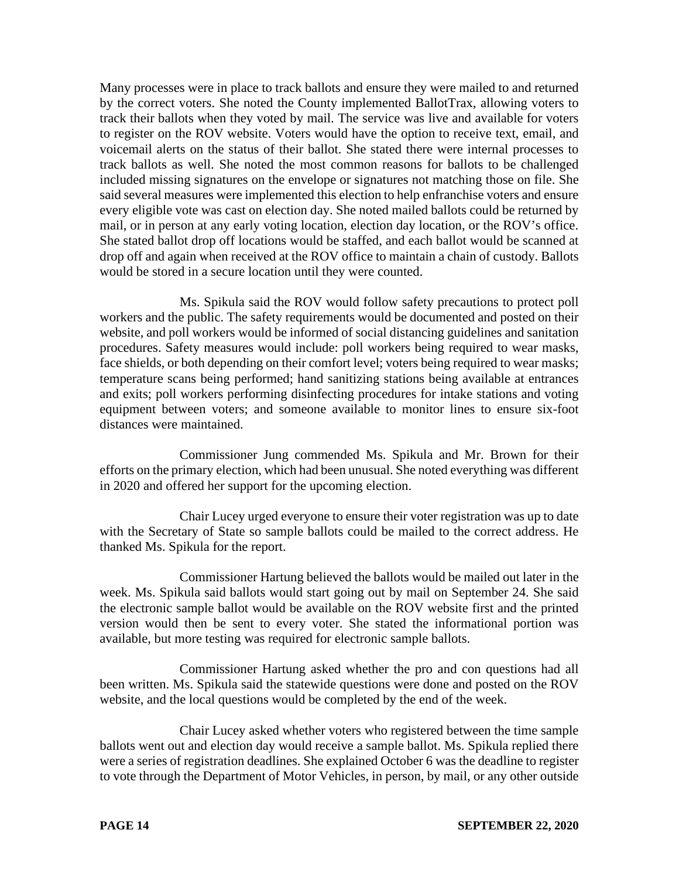Many processes were in place to track ballots and ensure they were mailed to and returned by the correct voters. She noted the County implemented BallotTrax, allowing voters to track their ballots when they voted by mail. The service was live and available for voters to register on the ROV website. Voters would have the option to receive text, email, and voicemail alerts on the status of their ballot. She stated there were internal processes to track ballots as well. She noted the most common reasons for ballots to be challenged included missing signatures on the envelope or signatures not matching those on file. She said several measures were implemented this election to help enfranchise voters and ensure every eligible vote was cast on election day. She noted mailed ballots could be returned by mail, or in person at any early voting location, election day location, or the ROV's office. She stated ballot drop off locations would be staffed, and each ballot would be scanned at drop off and again when received at the ROV office to maintain a chain of custody. Ballots would be stored in a secure location until they were counted.

Ms. Spikula said the ROV would follow safety precautions to protect poll workers and the public. The safety requirements would be documented and posted on their website, and poll workers would be informed of social distancing guidelines and sanitation procedures. Safety measures would include: poll workers being required to wear masks, face shields, or both depending on their comfort level; voters being required to wear masks; temperature scans being performed; hand sanitizing stations being available at entrances and exits; poll workers performing disinfecting procedures for intake stations and voting equipment between voters; and someone available to monitor lines to ensure six-foot distances were maintained.

Commissioner Jung commended Ms. Spikula and Mr. Brown for their efforts on the primary election, which had been unusual. She noted everything was different in 2020 and offered her support for the upcoming election.

Chair Lucey urged everyone to ensure their voter registration was up to date with the Secretary of State so sample ballots could be mailed to the correct address. He thanked Ms. Spikula for the report.

Commissioner Hartung believed the ballots would be mailed out later in the week. Ms. Spikula said ballots would start going out by mail on September 24. She said the electronic sample ballot would be available on the ROV website first and the printed version would then be sent to every voter. She stated the informational portion was available, but more testing was required for electronic sample ballots.

Commissioner Hartung asked whether the pro and con questions had all been written. Ms. Spikula said the statewide questions were done and posted on the ROV website, and the local questions would be completed by the end of the week.

Chair Lucey asked whether voters who registered between the time sample ballots went out and election day would receive a sample ballot. Ms. Spikula replied there were a series of registration deadlines. She explained October 6 was the deadline to register to vote through the Department of Motor Vehicles, in person, by mail, or any other outside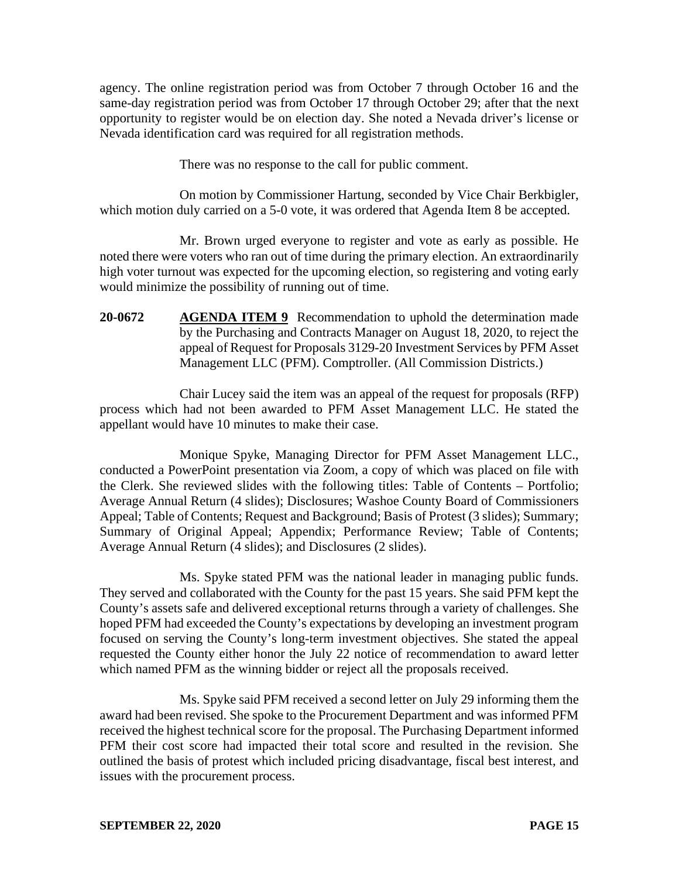agency. The online registration period was from October 7 through October 16 and the same-day registration period was from October 17 through October 29; after that the next opportunity to register would be on election day. She noted a Nevada driver's license or Nevada identification card was required for all registration methods.

There was no response to the call for public comment.

On motion by Commissioner Hartung, seconded by Vice Chair Berkbigler, which motion duly carried on a 5-0 vote, it was ordered that Agenda Item 8 be accepted.

Mr. Brown urged everyone to register and vote as early as possible. He noted there were voters who ran out of time during the primary election. An extraordinarily high voter turnout was expected for the upcoming election, so registering and voting early would minimize the possibility of running out of time.

**20-0672 AGENDA ITEM 9** Recommendation to uphold the determination made by the Purchasing and Contracts Manager on August 18, 2020, to reject the appeal of Request for Proposals 3129-20 Investment Services by PFM Asset Management LLC (PFM). Comptroller. (All Commission Districts.)

Chair Lucey said the item was an appeal of the request for proposals (RFP) process which had not been awarded to PFM Asset Management LLC. He stated the appellant would have 10 minutes to make their case.

Monique Spyke, Managing Director for PFM Asset Management LLC., conducted a PowerPoint presentation via Zoom, a copy of which was placed on file with the Clerk. She reviewed slides with the following titles: Table of Contents – Portfolio; Average Annual Return (4 slides); Disclosures; Washoe County Board of Commissioners Appeal; Table of Contents; Request and Background; Basis of Protest (3 slides); Summary; Summary of Original Appeal; Appendix; Performance Review; Table of Contents; Average Annual Return (4 slides); and Disclosures (2 slides).

Ms. Spyke stated PFM was the national leader in managing public funds. They served and collaborated with the County for the past 15 years. She said PFM kept the County's assets safe and delivered exceptional returns through a variety of challenges. She hoped PFM had exceeded the County's expectations by developing an investment program focused on serving the County's long-term investment objectives. She stated the appeal requested the County either honor the July 22 notice of recommendation to award letter which named PFM as the winning bidder or reject all the proposals received.

Ms. Spyke said PFM received a second letter on July 29 informing them the award had been revised. She spoke to the Procurement Department and was informed PFM received the highest technical score for the proposal. The Purchasing Department informed PFM their cost score had impacted their total score and resulted in the revision. She outlined the basis of protest which included pricing disadvantage, fiscal best interest, and issues with the procurement process.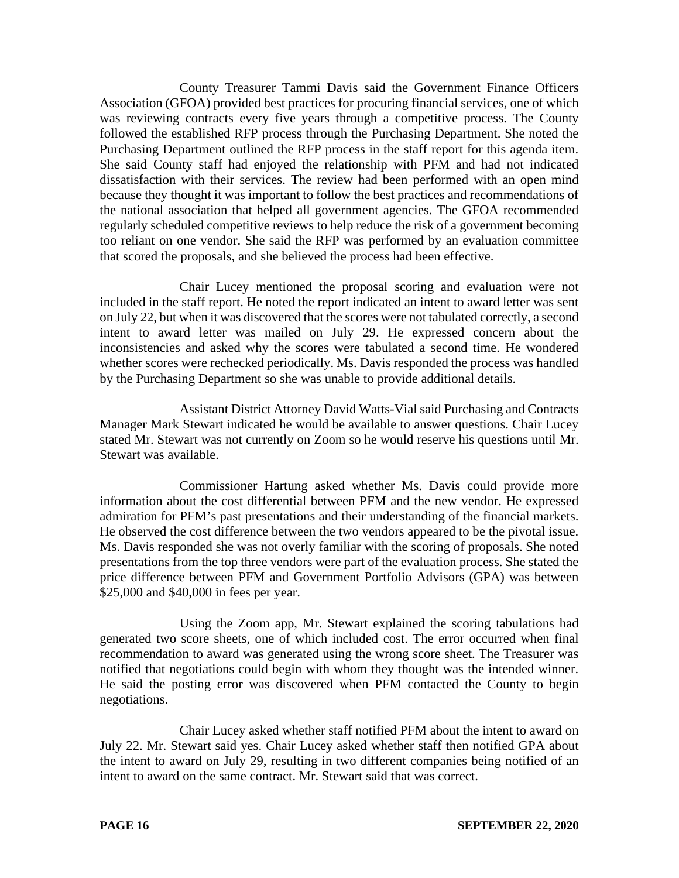County Treasurer Tammi Davis said the Government Finance Officers Association (GFOA) provided best practices for procuring financial services, one of which was reviewing contracts every five years through a competitive process. The County followed the established RFP process through the Purchasing Department. She noted the Purchasing Department outlined the RFP process in the staff report for this agenda item. She said County staff had enjoyed the relationship with PFM and had not indicated dissatisfaction with their services. The review had been performed with an open mind because they thought it was important to follow the best practices and recommendations of the national association that helped all government agencies. The GFOA recommended regularly scheduled competitive reviews to help reduce the risk of a government becoming too reliant on one vendor. She said the RFP was performed by an evaluation committee that scored the proposals, and she believed the process had been effective.

Chair Lucey mentioned the proposal scoring and evaluation were not included in the staff report. He noted the report indicated an intent to award letter was sent on July 22, but when it was discovered that the scores were not tabulated correctly, a second intent to award letter was mailed on July 29. He expressed concern about the inconsistencies and asked why the scores were tabulated a second time. He wondered whether scores were rechecked periodically. Ms. Davis responded the process was handled by the Purchasing Department so she was unable to provide additional details.

Assistant District Attorney David Watts-Vial said Purchasing and Contracts Manager Mark Stewart indicated he would be available to answer questions. Chair Lucey stated Mr. Stewart was not currently on Zoom so he would reserve his questions until Mr. Stewart was available.

Commissioner Hartung asked whether Ms. Davis could provide more information about the cost differential between PFM and the new vendor. He expressed admiration for PFM's past presentations and their understanding of the financial markets. He observed the cost difference between the two vendors appeared to be the pivotal issue. Ms. Davis responded she was not overly familiar with the scoring of proposals. She noted presentations from the top three vendors were part of the evaluation process. She stated the price difference between PFM and Government Portfolio Advisors (GPA) was between \$25,000 and \$40,000 in fees per year.

Using the Zoom app, Mr. Stewart explained the scoring tabulations had generated two score sheets, one of which included cost. The error occurred when final recommendation to award was generated using the wrong score sheet. The Treasurer was notified that negotiations could begin with whom they thought was the intended winner. He said the posting error was discovered when PFM contacted the County to begin negotiations.

Chair Lucey asked whether staff notified PFM about the intent to award on July 22. Mr. Stewart said yes. Chair Lucey asked whether staff then notified GPA about the intent to award on July 29, resulting in two different companies being notified of an intent to award on the same contract. Mr. Stewart said that was correct.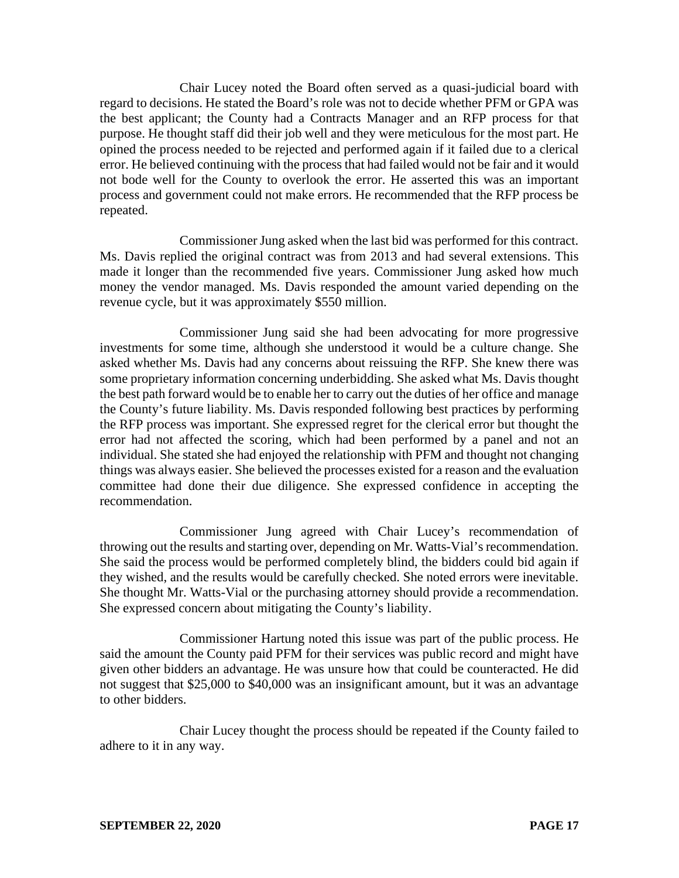Chair Lucey noted the Board often served as a quasi-judicial board with regard to decisions. He stated the Board's role was not to decide whether PFM or GPA was the best applicant; the County had a Contracts Manager and an RFP process for that purpose. He thought staff did their job well and they were meticulous for the most part. He opined the process needed to be rejected and performed again if it failed due to a clerical error. He believed continuing with the process that had failed would not be fair and it would not bode well for the County to overlook the error. He asserted this was an important process and government could not make errors. He recommended that the RFP process be repeated.

Commissioner Jung asked when the last bid was performed for this contract. Ms. Davis replied the original contract was from 2013 and had several extensions. This made it longer than the recommended five years. Commissioner Jung asked how much money the vendor managed. Ms. Davis responded the amount varied depending on the revenue cycle, but it was approximately \$550 million.

Commissioner Jung said she had been advocating for more progressive investments for some time, although she understood it would be a culture change. She asked whether Ms. Davis had any concerns about reissuing the RFP. She knew there was some proprietary information concerning underbidding. She asked what Ms. Davis thought the best path forward would be to enable her to carry out the duties of her office and manage the County's future liability. Ms. Davis responded following best practices by performing the RFP process was important. She expressed regret for the clerical error but thought the error had not affected the scoring, which had been performed by a panel and not an individual. She stated she had enjoyed the relationship with PFM and thought not changing things was always easier. She believed the processes existed for a reason and the evaluation committee had done their due diligence. She expressed confidence in accepting the recommendation.

Commissioner Jung agreed with Chair Lucey's recommendation of throwing out the results and starting over, depending on Mr. Watts-Vial's recommendation. She said the process would be performed completely blind, the bidders could bid again if they wished, and the results would be carefully checked. She noted errors were inevitable. She thought Mr. Watts-Vial or the purchasing attorney should provide a recommendation. She expressed concern about mitigating the County's liability.

Commissioner Hartung noted this issue was part of the public process. He said the amount the County paid PFM for their services was public record and might have given other bidders an advantage. He was unsure how that could be counteracted. He did not suggest that \$25,000 to \$40,000 was an insignificant amount, but it was an advantage to other bidders.

Chair Lucey thought the process should be repeated if the County failed to adhere to it in any way.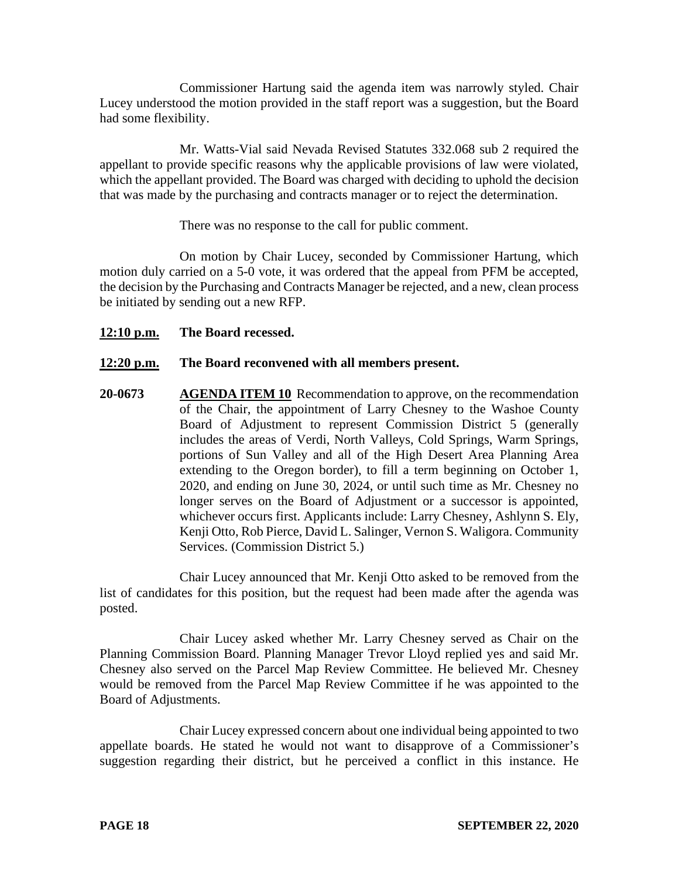Commissioner Hartung said the agenda item was narrowly styled. Chair Lucey understood the motion provided in the staff report was a suggestion, but the Board had some flexibility.

Mr. Watts-Vial said Nevada Revised Statutes 332.068 sub 2 required the appellant to provide specific reasons why the applicable provisions of law were violated, which the appellant provided. The Board was charged with deciding to uphold the decision that was made by the purchasing and contracts manager or to reject the determination.

There was no response to the call for public comment.

On motion by Chair Lucey, seconded by Commissioner Hartung, which motion duly carried on a 5-0 vote, it was ordered that the appeal from PFM be accepted, the decision by the Purchasing and Contracts Manager be rejected, and a new, clean process be initiated by sending out a new RFP.

## **12:10 p.m. The Board recessed.**

## **12:20 p.m. The Board reconvened with all members present.**

**20-0673 AGENDA ITEM 10** Recommendation to approve, on the recommendation of the Chair, the appointment of Larry Chesney to the Washoe County Board of Adjustment to represent Commission District 5 (generally includes the areas of Verdi, North Valleys, Cold Springs, Warm Springs, portions of Sun Valley and all of the High Desert Area Planning Area extending to the Oregon border), to fill a term beginning on October 1, 2020, and ending on June 30, 2024, or until such time as Mr. Chesney no longer serves on the Board of Adjustment or a successor is appointed, whichever occurs first. Applicants include: Larry Chesney, Ashlynn S. Ely, Kenji Otto, Rob Pierce, David L. Salinger, Vernon S. Waligora. Community Services. (Commission District 5.)

Chair Lucey announced that Mr. Kenji Otto asked to be removed from the list of candidates for this position, but the request had been made after the agenda was posted.

Chair Lucey asked whether Mr. Larry Chesney served as Chair on the Planning Commission Board. Planning Manager Trevor Lloyd replied yes and said Mr. Chesney also served on the Parcel Map Review Committee. He believed Mr. Chesney would be removed from the Parcel Map Review Committee if he was appointed to the Board of Adjustments.

Chair Lucey expressed concern about one individual being appointed to two appellate boards. He stated he would not want to disapprove of a Commissioner's suggestion regarding their district, but he perceived a conflict in this instance. He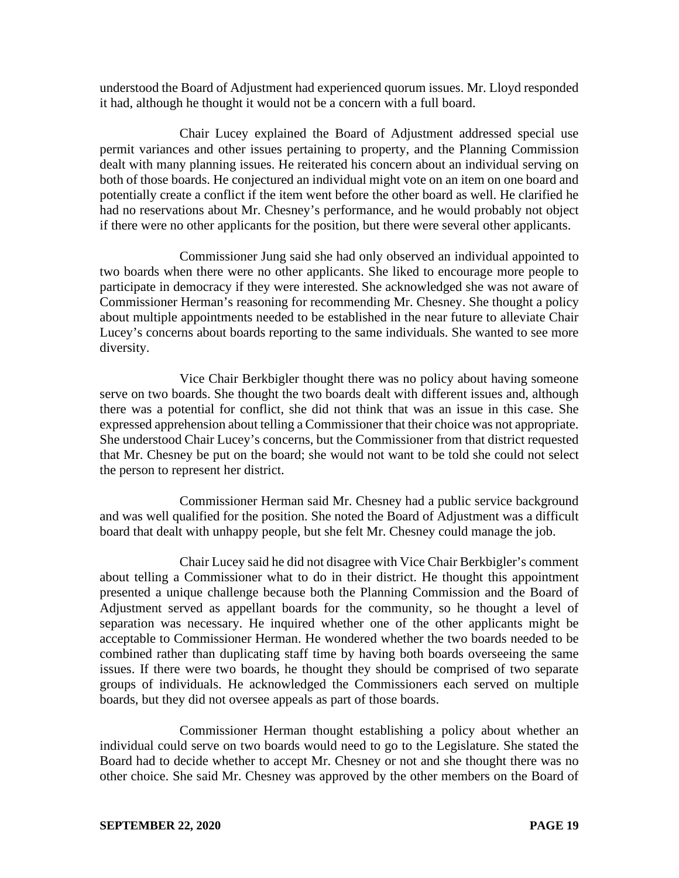understood the Board of Adjustment had experienced quorum issues. Mr. Lloyd responded it had, although he thought it would not be a concern with a full board.

Chair Lucey explained the Board of Adjustment addressed special use permit variances and other issues pertaining to property, and the Planning Commission dealt with many planning issues. He reiterated his concern about an individual serving on both of those boards. He conjectured an individual might vote on an item on one board and potentially create a conflict if the item went before the other board as well. He clarified he had no reservations about Mr. Chesney's performance, and he would probably not object if there were no other applicants for the position, but there were several other applicants.

Commissioner Jung said she had only observed an individual appointed to two boards when there were no other applicants. She liked to encourage more people to participate in democracy if they were interested. She acknowledged she was not aware of Commissioner Herman's reasoning for recommending Mr. Chesney. She thought a policy about multiple appointments needed to be established in the near future to alleviate Chair Lucey's concerns about boards reporting to the same individuals. She wanted to see more diversity.

Vice Chair Berkbigler thought there was no policy about having someone serve on two boards. She thought the two boards dealt with different issues and, although there was a potential for conflict, she did not think that was an issue in this case. She expressed apprehension about telling a Commissioner that their choice was not appropriate. She understood Chair Lucey's concerns, but the Commissioner from that district requested that Mr. Chesney be put on the board; she would not want to be told she could not select the person to represent her district.

Commissioner Herman said Mr. Chesney had a public service background and was well qualified for the position. She noted the Board of Adjustment was a difficult board that dealt with unhappy people, but she felt Mr. Chesney could manage the job.

Chair Lucey said he did not disagree with Vice Chair Berkbigler's comment about telling a Commissioner what to do in their district. He thought this appointment presented a unique challenge because both the Planning Commission and the Board of Adjustment served as appellant boards for the community, so he thought a level of separation was necessary. He inquired whether one of the other applicants might be acceptable to Commissioner Herman. He wondered whether the two boards needed to be combined rather than duplicating staff time by having both boards overseeing the same issues. If there were two boards, he thought they should be comprised of two separate groups of individuals. He acknowledged the Commissioners each served on multiple boards, but they did not oversee appeals as part of those boards.

Commissioner Herman thought establishing a policy about whether an individual could serve on two boards would need to go to the Legislature. She stated the Board had to decide whether to accept Mr. Chesney or not and she thought there was no other choice. She said Mr. Chesney was approved by the other members on the Board of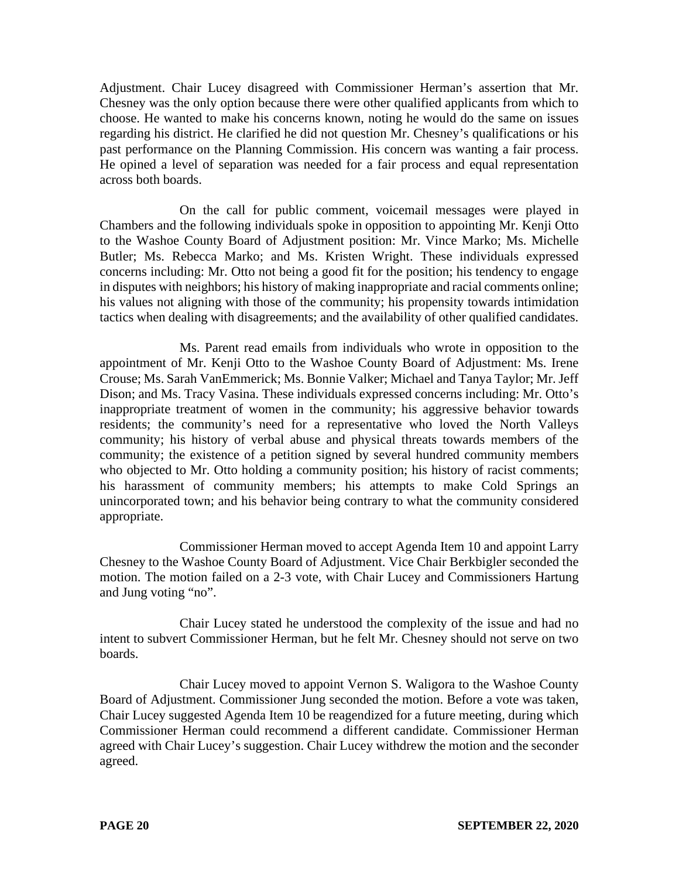Adjustment. Chair Lucey disagreed with Commissioner Herman's assertion that Mr. Chesney was the only option because there were other qualified applicants from which to choose. He wanted to make his concerns known, noting he would do the same on issues regarding his district. He clarified he did not question Mr. Chesney's qualifications or his past performance on the Planning Commission. His concern was wanting a fair process. He opined a level of separation was needed for a fair process and equal representation across both boards.

On the call for public comment, voicemail messages were played in Chambers and the following individuals spoke in opposition to appointing Mr. Kenji Otto to the Washoe County Board of Adjustment position: Mr. Vince Marko; Ms. Michelle Butler; Ms. Rebecca Marko; and Ms. Kristen Wright. These individuals expressed concerns including: Mr. Otto not being a good fit for the position; his tendency to engage in disputes with neighbors; his history of making inappropriate and racial comments online; his values not aligning with those of the community; his propensity towards intimidation tactics when dealing with disagreements; and the availability of other qualified candidates.

Ms. Parent read emails from individuals who wrote in opposition to the appointment of Mr. Kenji Otto to the Washoe County Board of Adjustment: Ms. Irene Crouse; Ms. Sarah VanEmmerick; Ms. Bonnie Valker; Michael and Tanya Taylor; Mr. Jeff Dison; and Ms. Tracy Vasina. These individuals expressed concerns including: Mr. Otto's inappropriate treatment of women in the community; his aggressive behavior towards residents; the community's need for a representative who loved the North Valleys community; his history of verbal abuse and physical threats towards members of the community; the existence of a petition signed by several hundred community members who objected to Mr. Otto holding a community position; his history of racist comments; his harassment of community members; his attempts to make Cold Springs an unincorporated town; and his behavior being contrary to what the community considered appropriate.

Commissioner Herman moved to accept Agenda Item 10 and appoint Larry Chesney to the Washoe County Board of Adjustment. Vice Chair Berkbigler seconded the motion. The motion failed on a 2-3 vote, with Chair Lucey and Commissioners Hartung and Jung voting "no".

Chair Lucey stated he understood the complexity of the issue and had no intent to subvert Commissioner Herman, but he felt Mr. Chesney should not serve on two boards.

Chair Lucey moved to appoint Vernon S. Waligora to the Washoe County Board of Adjustment. Commissioner Jung seconded the motion. Before a vote was taken, Chair Lucey suggested Agenda Item 10 be reagendized for a future meeting, during which Commissioner Herman could recommend a different candidate. Commissioner Herman agreed with Chair Lucey's suggestion. Chair Lucey withdrew the motion and the seconder agreed.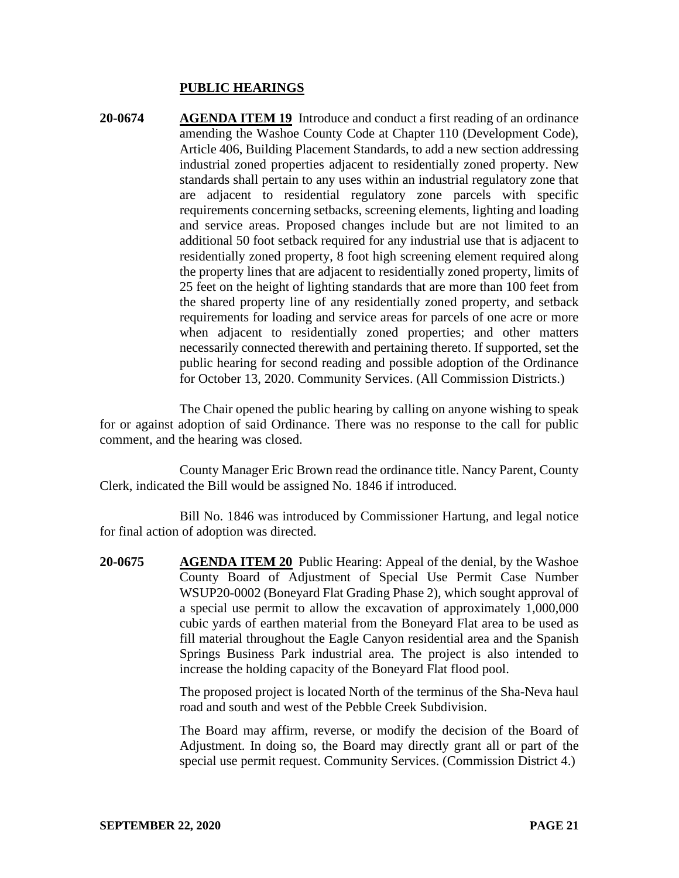#### **PUBLIC HEARINGS**

**20-0674 AGENDA ITEM 19** Introduce and conduct a first reading of an ordinance amending the Washoe County Code at Chapter 110 (Development Code), Article 406, Building Placement Standards, to add a new section addressing industrial zoned properties adjacent to residentially zoned property. New standards shall pertain to any uses within an industrial regulatory zone that are adjacent to residential regulatory zone parcels with specific requirements concerning setbacks, screening elements, lighting and loading and service areas. Proposed changes include but are not limited to an additional 50 foot setback required for any industrial use that is adjacent to residentially zoned property, 8 foot high screening element required along the property lines that are adjacent to residentially zoned property, limits of 25 feet on the height of lighting standards that are more than 100 feet from the shared property line of any residentially zoned property, and setback requirements for loading and service areas for parcels of one acre or more when adjacent to residentially zoned properties; and other matters necessarily connected therewith and pertaining thereto. If supported, set the public hearing for second reading and possible adoption of the Ordinance for October 13, 2020. Community Services. (All Commission Districts.)

The Chair opened the public hearing by calling on anyone wishing to speak for or against adoption of said Ordinance. There was no response to the call for public comment, and the hearing was closed.

County Manager Eric Brown read the ordinance title. Nancy Parent, County Clerk, indicated the Bill would be assigned No. 1846 if introduced.

Bill No. 1846 was introduced by Commissioner Hartung, and legal notice for final action of adoption was directed.

**20-0675 AGENDA ITEM 20** Public Hearing: Appeal of the denial, by the Washoe County Board of Adjustment of Special Use Permit Case Number WSUP20-0002 (Boneyard Flat Grading Phase 2), which sought approval of a special use permit to allow the excavation of approximately 1,000,000 cubic yards of earthen material from the Boneyard Flat area to be used as fill material throughout the Eagle Canyon residential area and the Spanish Springs Business Park industrial area. The project is also intended to increase the holding capacity of the Boneyard Flat flood pool.

> The proposed project is located North of the terminus of the Sha-Neva haul road and south and west of the Pebble Creek Subdivision.

> The Board may affirm, reverse, or modify the decision of the Board of Adjustment. In doing so, the Board may directly grant all or part of the special use permit request. Community Services. (Commission District 4.)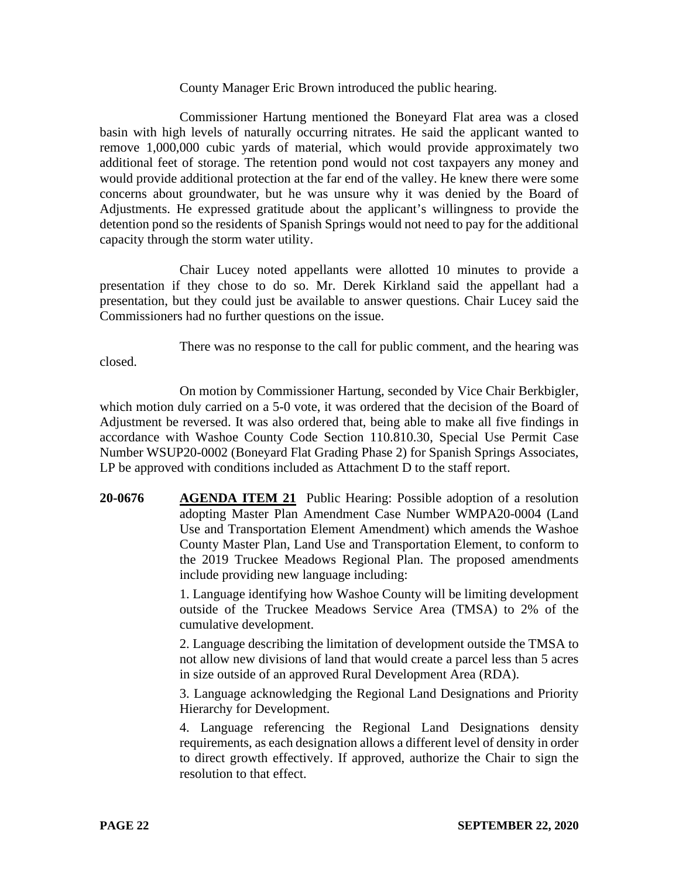#### County Manager Eric Brown introduced the public hearing.

Commissioner Hartung mentioned the Boneyard Flat area was a closed basin with high levels of naturally occurring nitrates. He said the applicant wanted to remove 1,000,000 cubic yards of material, which would provide approximately two additional feet of storage. The retention pond would not cost taxpayers any money and would provide additional protection at the far end of the valley. He knew there were some concerns about groundwater, but he was unsure why it was denied by the Board of Adjustments. He expressed gratitude about the applicant's willingness to provide the detention pond so the residents of Spanish Springs would not need to pay for the additional capacity through the storm water utility.

Chair Lucey noted appellants were allotted 10 minutes to provide a presentation if they chose to do so. Mr. Derek Kirkland said the appellant had a presentation, but they could just be available to answer questions. Chair Lucey said the Commissioners had no further questions on the issue.

There was no response to the call for public comment, and the hearing was

On motion by Commissioner Hartung, seconded by Vice Chair Berkbigler, which motion duly carried on a 5-0 vote, it was ordered that the decision of the Board of Adjustment be reversed. It was also ordered that, being able to make all five findings in accordance with Washoe County Code Section 110.810.30, Special Use Permit Case Number WSUP20-0002 (Boneyard Flat Grading Phase 2) for Spanish Springs Associates, LP be approved with conditions included as Attachment D to the staff report.

**20-0676 AGENDA ITEM 21** Public Hearing: Possible adoption of a resolution adopting Master Plan Amendment Case Number WMPA20-0004 (Land Use and Transportation Element Amendment) which amends the Washoe County Master Plan, Land Use and Transportation Element, to conform to the 2019 Truckee Meadows Regional Plan. The proposed amendments include providing new language including:

> 1. Language identifying how Washoe County will be limiting development outside of the Truckee Meadows Service Area (TMSA) to 2% of the cumulative development.

> 2. Language describing the limitation of development outside the TMSA to not allow new divisions of land that would create a parcel less than 5 acres in size outside of an approved Rural Development Area (RDA).

> 3. Language acknowledging the Regional Land Designations and Priority Hierarchy for Development.

> 4. Language referencing the Regional Land Designations density requirements, as each designation allows a different level of density in order to direct growth effectively. If approved, authorize the Chair to sign the resolution to that effect.

closed.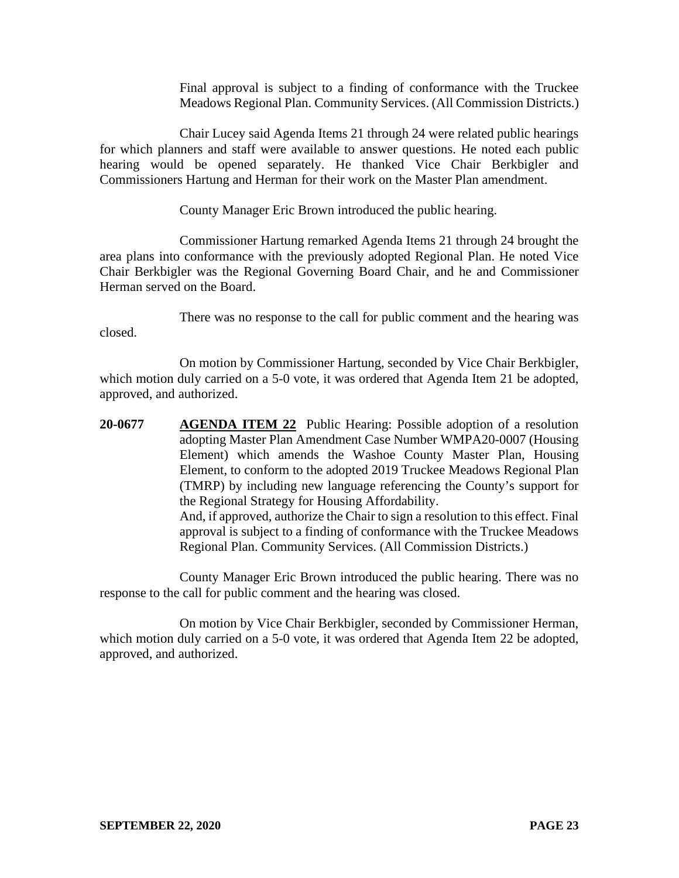Final approval is subject to a finding of conformance with the Truckee Meadows Regional Plan. Community Services. (All Commission Districts.)

Chair Lucey said Agenda Items 21 through 24 were related public hearings for which planners and staff were available to answer questions. He noted each public hearing would be opened separately. He thanked Vice Chair Berkbigler and Commissioners Hartung and Herman for their work on the Master Plan amendment.

County Manager Eric Brown introduced the public hearing.

Commissioner Hartung remarked Agenda Items 21 through 24 brought the area plans into conformance with the previously adopted Regional Plan. He noted Vice Chair Berkbigler was the Regional Governing Board Chair, and he and Commissioner Herman served on the Board.

There was no response to the call for public comment and the hearing was closed.

On motion by Commissioner Hartung, seconded by Vice Chair Berkbigler, which motion duly carried on a 5-0 vote, it was ordered that Agenda Item 21 be adopted, approved, and authorized.

**20-0677 AGENDA ITEM 22** Public Hearing: Possible adoption of a resolution adopting Master Plan Amendment Case Number WMPA20-0007 (Housing Element) which amends the Washoe County Master Plan, Housing Element, to conform to the adopted 2019 Truckee Meadows Regional Plan (TMRP) by including new language referencing the County's support for the Regional Strategy for Housing Affordability. And, if approved, authorize the Chair to sign a resolution to this effect. Final approval is subject to a finding of conformance with the Truckee Meadows Regional Plan. Community Services. (All Commission Districts.)

County Manager Eric Brown introduced the public hearing. There was no response to the call for public comment and the hearing was closed.

On motion by Vice Chair Berkbigler, seconded by Commissioner Herman, which motion duly carried on a 5-0 vote, it was ordered that Agenda Item 22 be adopted, approved, and authorized.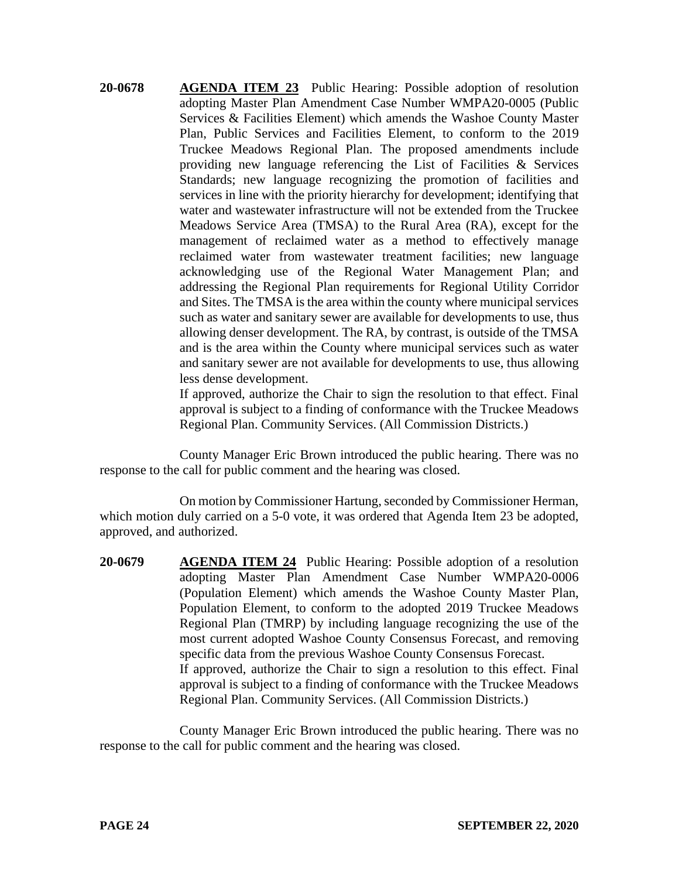**20-0678 AGENDA ITEM 23** Public Hearing: Possible adoption of resolution adopting Master Plan Amendment Case Number WMPA20-0005 (Public Services & Facilities Element) which amends the Washoe County Master Plan, Public Services and Facilities Element, to conform to the 2019 Truckee Meadows Regional Plan. The proposed amendments include providing new language referencing the List of Facilities & Services Standards; new language recognizing the promotion of facilities and services in line with the priority hierarchy for development; identifying that water and wastewater infrastructure will not be extended from the Truckee Meadows Service Area (TMSA) to the Rural Area (RA), except for the management of reclaimed water as a method to effectively manage reclaimed water from wastewater treatment facilities; new language acknowledging use of the Regional Water Management Plan; and addressing the Regional Plan requirements for Regional Utility Corridor and Sites. The TMSA is the area within the county where municipal services such as water and sanitary sewer are available for developments to use, thus allowing denser development. The RA, by contrast, is outside of the TMSA and is the area within the County where municipal services such as water and sanitary sewer are not available for developments to use, thus allowing less dense development.

> If approved, authorize the Chair to sign the resolution to that effect. Final approval is subject to a finding of conformance with the Truckee Meadows Regional Plan. Community Services. (All Commission Districts.)

County Manager Eric Brown introduced the public hearing. There was no response to the call for public comment and the hearing was closed.

On motion by Commissioner Hartung, seconded by Commissioner Herman, which motion duly carried on a 5-0 vote, it was ordered that Agenda Item 23 be adopted, approved, and authorized.

**20-0679 AGENDA ITEM 24** Public Hearing: Possible adoption of a resolution adopting Master Plan Amendment Case Number WMPA20-0006 (Population Element) which amends the Washoe County Master Plan, Population Element, to conform to the adopted 2019 Truckee Meadows Regional Plan (TMRP) by including language recognizing the use of the most current adopted Washoe County Consensus Forecast, and removing specific data from the previous Washoe County Consensus Forecast. If approved, authorize the Chair to sign a resolution to this effect. Final approval is subject to a finding of conformance with the Truckee Meadows Regional Plan. Community Services. (All Commission Districts.)

County Manager Eric Brown introduced the public hearing. There was no response to the call for public comment and the hearing was closed.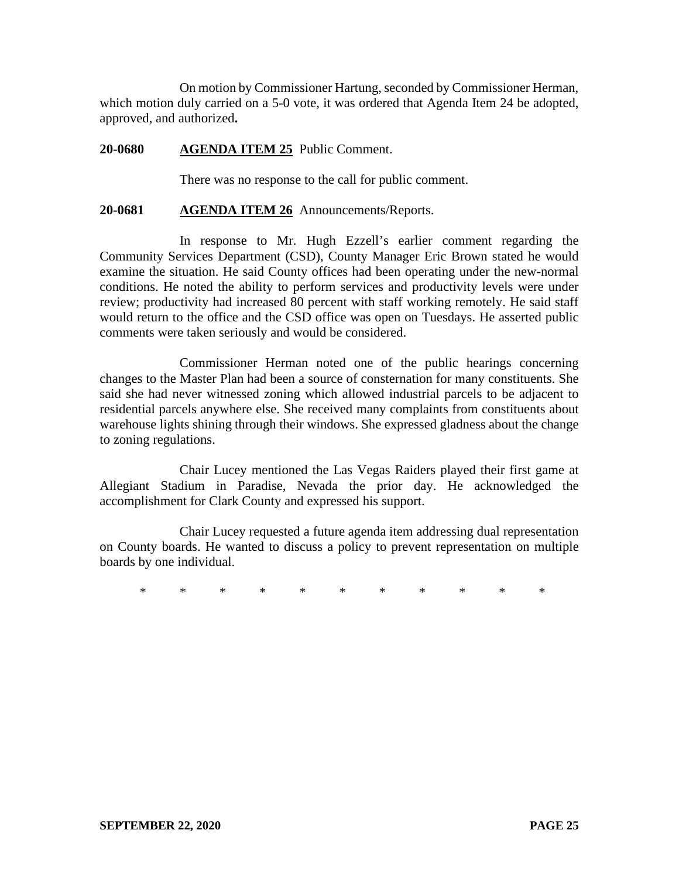On motion by Commissioner Hartung, seconded by Commissioner Herman, which motion duly carried on a 5-0 vote, it was ordered that Agenda Item 24 be adopted, approved, and authorized**.**

#### **20-0680 AGENDA ITEM 25** Public Comment.

There was no response to the call for public comment.

#### **20-0681 AGENDA ITEM 26** Announcements/Reports.

In response to Mr. Hugh Ezzell's earlier comment regarding the Community Services Department (CSD), County Manager Eric Brown stated he would examine the situation. He said County offices had been operating under the new-normal conditions. He noted the ability to perform services and productivity levels were under review; productivity had increased 80 percent with staff working remotely. He said staff would return to the office and the CSD office was open on Tuesdays. He asserted public comments were taken seriously and would be considered.

Commissioner Herman noted one of the public hearings concerning changes to the Master Plan had been a source of consternation for many constituents. She said she had never witnessed zoning which allowed industrial parcels to be adjacent to residential parcels anywhere else. She received many complaints from constituents about warehouse lights shining through their windows. She expressed gladness about the change to zoning regulations.

Chair Lucey mentioned the Las Vegas Raiders played their first game at Allegiant Stadium in Paradise, Nevada the prior day. He acknowledged the accomplishment for Clark County and expressed his support.

Chair Lucey requested a future agenda item addressing dual representation on County boards. He wanted to discuss a policy to prevent representation on multiple boards by one individual.

\* \* \* \* \* \* \* \* \* \* \*